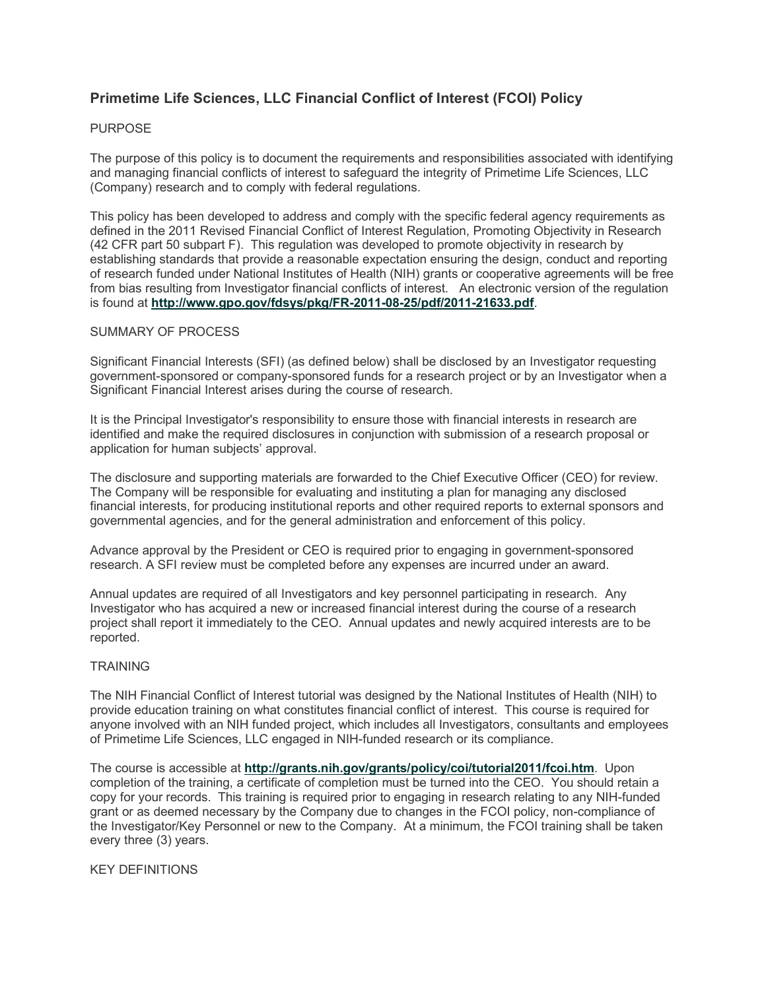# **Primetime Life Sciences, LLC Financial Conflict of Interest (FCOI) Policy**

## PURPOSE

The purpose of this policy is to document the requirements and responsibilities associated with identifying and managing financial conflicts of interest to safeguard the integrity of Primetime Life Sciences, LLC (Company) research and to comply with federal regulations.

This policy has been developed to address and comply with the specific federal agency requirements as defined in the 2011 Revised Financial Conflict of Interest Regulation, Promoting Objectivity in Research (42 CFR part 50 subpart F). This regulation was developed to promote objectivity in research by establishing standards that provide a reasonable expectation ensuring the design, conduct and reporting of research funded under National Institutes of Health (NIH) grants or cooperative agreements will be free from bias resulting from Investigator financial conflicts of interest. An electronic version of the regulation is found at **<http://www.gpo.gov/fdsys/pkg/FR-2011-08-25/pdf/2011-21633.pdf>**.

### SUMMARY OF PROCESS

Significant Financial Interests (SFI) (as defined below) shall be disclosed by an Investigator requesting government-sponsored or company-sponsored funds for a research project or by an Investigator when a Significant Financial Interest arises during the course of research.

It is the Principal Investigator's responsibility to ensure those with financial interests in research are identified and make the required disclosures in conjunction with submission of a research proposal or application for human subjects' approval.

The disclosure and supporting materials are forwarded to the Chief Executive Officer (CEO) for review. The Company will be responsible for evaluating and instituting a plan for managing any disclosed financial interests, for producing institutional reports and other required reports to external sponsors and governmental agencies, and for the general administration and enforcement of this policy.

Advance approval by the President or CEO is required prior to engaging in government-sponsored research. A SFI review must be completed before any expenses are incurred under an award.

Annual updates are required of all Investigators and key personnel participating in research. Any Investigator who has acquired a new or increased financial interest during the course of a research project shall report it immediately to the CEO. Annual updates and newly acquired interests are to be reported.

### **TRAINING**

The NIH Financial Conflict of Interest tutorial was designed by the National Institutes of Health (NIH) to provide education training on what constitutes financial conflict of interest. This course is required for anyone involved with an NIH funded project, which includes all Investigators, consultants and employees of Primetime Life Sciences, LLC engaged in NIH-funded research or its compliance.

The course is accessible at **<http://grants.nih.gov/grants/policy/coi/tutorial2011/fcoi.htm>**. Upon completion of the training, a certificate of completion must be turned into the CEO. You should retain a copy for your records. This training is required prior to engaging in research relating to any NIH-funded grant or as deemed necessary by the Company due to changes in the FCOI policy, non-compliance of the Investigator/Key Personnel or new to the Company. At a minimum, the FCOI training shall be taken every three (3) years.

KEY DEFINITIONS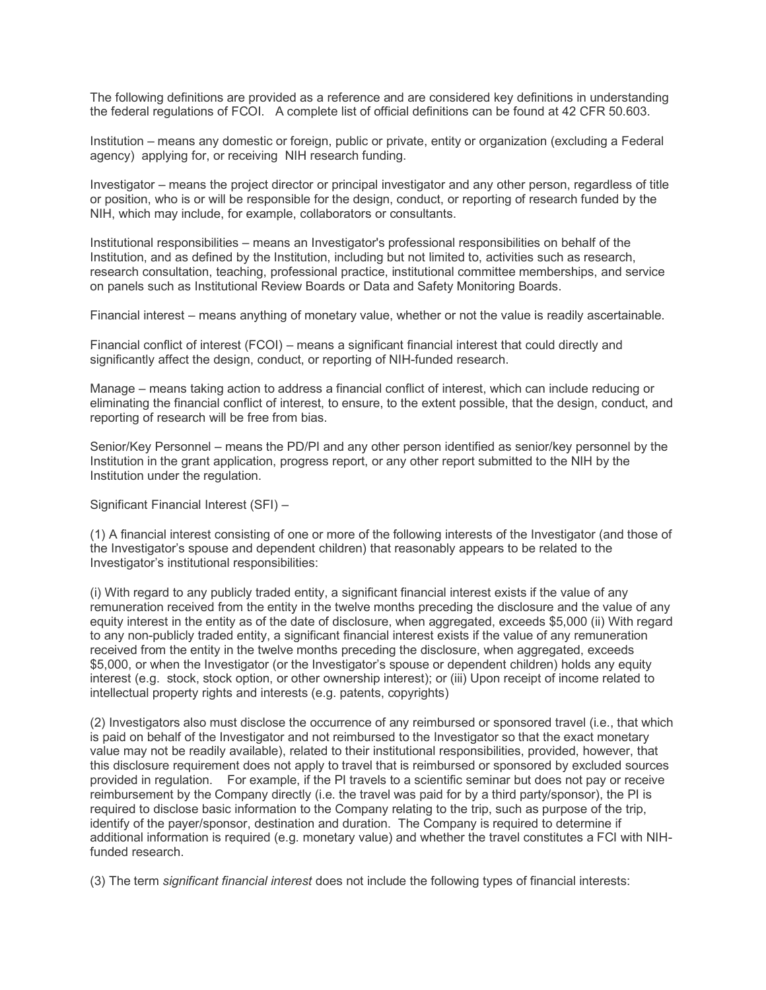The following definitions are provided as a reference and are considered key definitions in understanding the federal regulations of FCOI. A complete list of official definitions can be found at 42 CFR 50.603.

Institution – means any domestic or foreign, public or private, entity or organization (excluding a Federal agency) applying for, or receiving NIH research funding.

Investigator – means the project director or principal investigator and any other person, regardless of title or position, who is or will be responsible for the design, conduct, or reporting of research funded by the NIH, which may include, for example, collaborators or consultants.

Institutional responsibilities – means an Investigator's professional responsibilities on behalf of the Institution, and as defined by the Institution, including but not limited to, activities such as research, research consultation, teaching, professional practice, institutional committee memberships, and service on panels such as Institutional Review Boards or Data and Safety Monitoring Boards.

Financial interest – means anything of monetary value, whether or not the value is readily ascertainable.

Financial conflict of interest (FCOI) – means a significant financial interest that could directly and significantly affect the design, conduct, or reporting of NIH-funded research.

Manage – means taking action to address a financial conflict of interest, which can include reducing or eliminating the financial conflict of interest, to ensure, to the extent possible, that the design, conduct, and reporting of research will be free from bias.

Senior/Key Personnel – means the PD/PI and any other person identified as senior/key personnel by the Institution in the grant application, progress report, or any other report submitted to the NIH by the Institution under the regulation.

Significant Financial Interest (SFI) –

(1) A financial interest consisting of one or more of the following interests of the Investigator (and those of the Investigator's spouse and dependent children) that reasonably appears to be related to the Investigator's institutional responsibilities:

(i) With regard to any publicly traded entity, a significant financial interest exists if the value of any remuneration received from the entity in the twelve months preceding the disclosure and the value of any equity interest in the entity as of the date of disclosure, when aggregated, exceeds \$5,000 (ii) With regard to any non-publicly traded entity, a significant financial interest exists if the value of any remuneration received from the entity in the twelve months preceding the disclosure, when aggregated, exceeds \$5,000, or when the Investigator (or the Investigator's spouse or dependent children) holds any equity interest (e.g. stock, stock option, or other ownership interest); or (iii) Upon receipt of income related to intellectual property rights and interests (e.g. patents, copyrights)

(2) Investigators also must disclose the occurrence of any reimbursed or sponsored travel (i.e., that which is paid on behalf of the Investigator and not reimbursed to the Investigator so that the exact monetary value may not be readily available), related to their institutional responsibilities, provided, however, that this disclosure requirement does not apply to travel that is reimbursed or sponsored by excluded sources provided in regulation. For example, if the PI travels to a scientific seminar but does not pay or receive reimbursement by the Company directly (i.e. the travel was paid for by a third party/sponsor), the PI is required to disclose basic information to the Company relating to the trip, such as purpose of the trip, identify of the payer/sponsor, destination and duration. The Company is required to determine if additional information is required (e.g. monetary value) and whether the travel constitutes a FCI with NIHfunded research.

(3) The term *significant financial interest* does not include the following types of financial interests: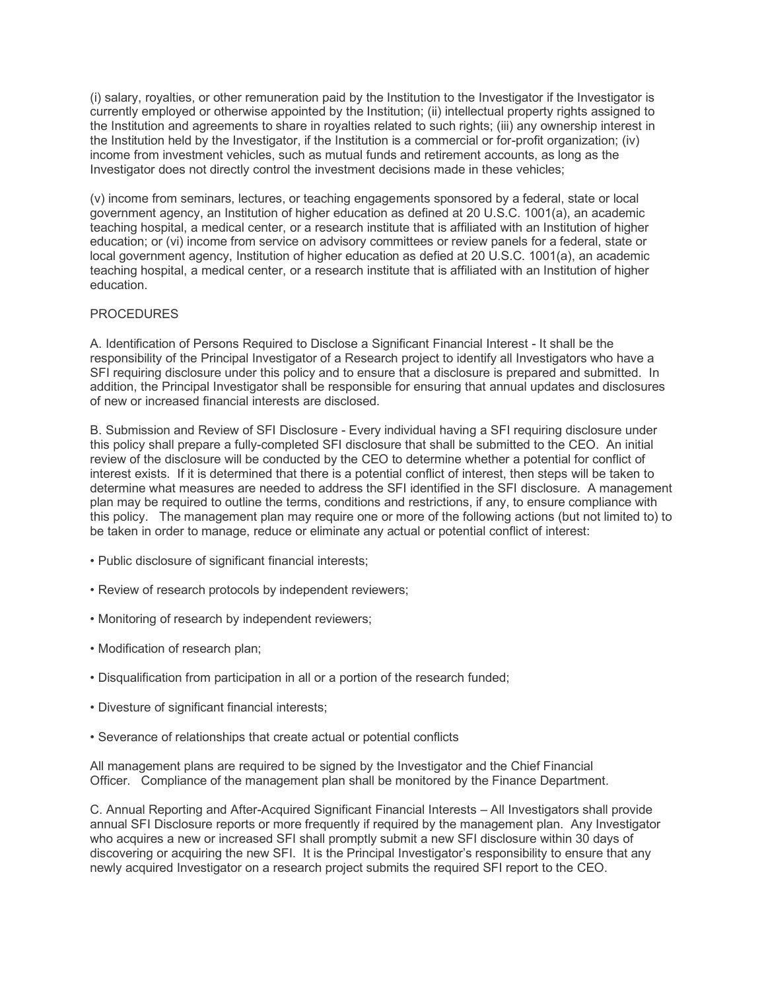(i) salary, royalties, or other remuneration paid by the Institution to the Investigator if the Investigator is currently employed or otherwise appointed by the Institution; (ii) intellectual property rights assigned to the Institution and agreements to share in royalties related to such rights; (iii) any ownership interest in the Institution held by the Investigator, if the Institution is a commercial or for-profit organization; (iv) income from investment vehicles, such as mutual funds and retirement accounts, as long as the Investigator does not directly control the investment decisions made in these vehicles;

(v) income from seminars, lectures, or teaching engagements sponsored by a federal, state or local government agency, an Institution of higher education as defined at 20 U.S.C. 1001(a), an academic teaching hospital, a medical center, or a research institute that is affiliated with an Institution of higher education; or (vi) income from service on advisory committees or review panels for a federal, state or local government agency, Institution of higher education as defied at 20 U.S.C. 1001(a), an academic teaching hospital, a medical center, or a research institute that is affiliated with an Institution of higher education.

### **PROCEDURES**

A. Identification of Persons Required to Disclose a Significant Financial Interest - It shall be the responsibility of the Principal Investigator of a Research project to identify all Investigators who have a SFI requiring disclosure under this policy and to ensure that a disclosure is prepared and submitted. In addition, the Principal Investigator shall be responsible for ensuring that annual updates and disclosures of new or increased financial interests are disclosed.

B. Submission and Review of SFI Disclosure - Every individual having a SFI requiring disclosure under this policy shall prepare a fully-completed SFI disclosure that shall be submitted to the CEO. An initial review of the disclosure will be conducted by the CEO to determine whether a potential for conflict of interest exists. If it is determined that there is a potential conflict of interest, then steps will be taken to determine what measures are needed to address the SFI identified in the SFI disclosure. A management plan may be required to outline the terms, conditions and restrictions, if any, to ensure compliance with this policy. The management plan may require one or more of the following actions (but not limited to) to be taken in order to manage, reduce or eliminate any actual or potential conflict of interest:

- Public disclosure of significant financial interests;
- Review of research protocols by independent reviewers;
- Monitoring of research by independent reviewers;
- Modification of research plan;
- Disqualification from participation in all or a portion of the research funded;
- Divesture of significant financial interests;
- Severance of relationships that create actual or potential conflicts

All management plans are required to be signed by the Investigator and the Chief Financial Officer. Compliance of the management plan shall be monitored by the Finance Department.

C. Annual Reporting and After-Acquired Significant Financial Interests – All Investigators shall provide annual SFI Disclosure reports or more frequently if required by the management plan. Any Investigator who acquires a new or increased SFI shall promptly submit a new SFI disclosure within 30 days of discovering or acquiring the new SFI. It is the Principal Investigator's responsibility to ensure that any newly acquired Investigator on a research project submits the required SFI report to the CEO.